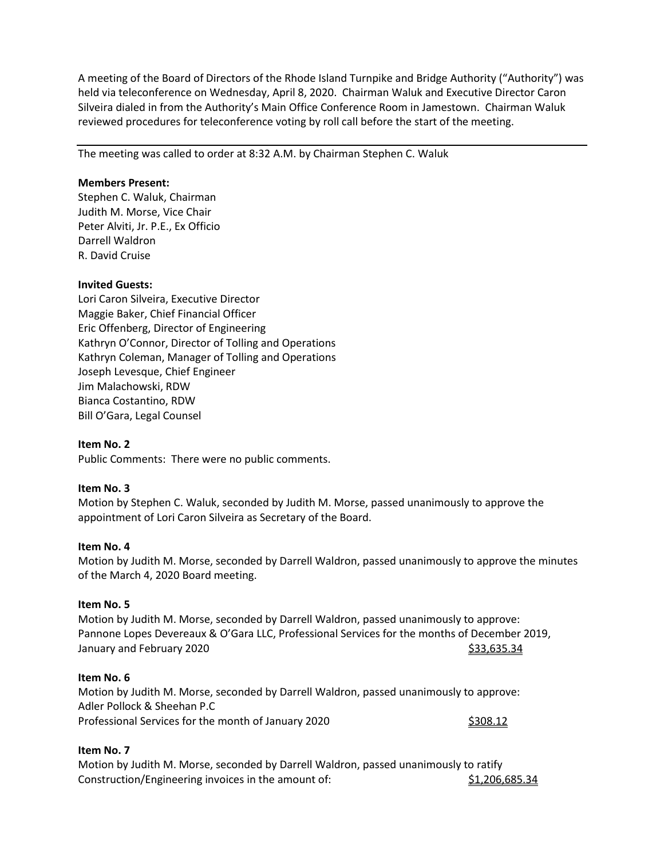A meeting of the Board of Directors of the Rhode Island Turnpike and Bridge Authority ("Authority") was held via teleconference on Wednesday, April 8, 2020. Chairman Waluk and Executive Director Caron Silveira dialed in from the Authority's Main Office Conference Room in Jamestown. Chairman Waluk reviewed procedures for teleconference voting by roll call before the start of the meeting.

The meeting was called to order at 8:32 A.M. by Chairman Stephen C. Waluk

#### **Members Present:**

Stephen C. Waluk, Chairman Judith M. Morse, Vice Chair Peter Alviti, Jr. P.E., Ex Officio Darrell Waldron R. David Cruise

# **Invited Guests:**

Lori Caron Silveira, Executive Director Maggie Baker, Chief Financial Officer Eric Offenberg, Director of Engineering Kathryn O'Connor, Director of Tolling and Operations Kathryn Coleman, Manager of Tolling and Operations Joseph Levesque, Chief Engineer Jim Malachowski, RDW Bianca Costantino, RDW Bill O'Gara, Legal Counsel

# **Item No. 2**

Public Comments: There were no public comments.

# **Item No. 3**

Motion by Stephen C. Waluk, seconded by Judith M. Morse, passed unanimously to approve the appointment of Lori Caron Silveira as Secretary of the Board.

#### **Item No. 4**

Motion by Judith M. Morse, seconded by Darrell Waldron, passed unanimously to approve the minutes of the March 4, 2020 Board meeting.

#### **Item No. 5**

Motion by Judith M. Morse, seconded by Darrell Waldron, passed unanimously to approve: Pannone Lopes Devereaux & O'Gara LLC, Professional Services for the months of December 2019, January and February 2020 **\$33,635.34** \$33,635.34

# **Item No. 6**

Motion by Judith M. Morse, seconded by Darrell Waldron, passed unanimously to approve: Adler Pollock & Sheehan P.C Professional Services for the month of January 2020 \$308.12

# **Item No. 7**

Motion by Judith M. Morse, seconded by Darrell Waldron, passed unanimously to ratify Construction/Engineering invoices in the amount of: \$1,206,685.34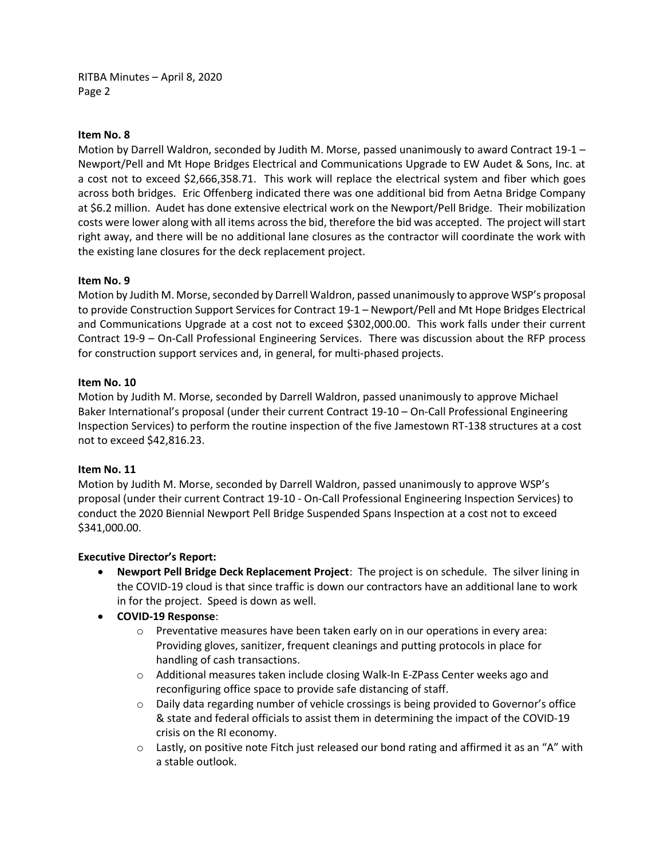RITBA Minutes – April 8, 2020 Page 2

### **Item No. 8**

Motion by Darrell Waldron, seconded by Judith M. Morse, passed unanimously to award Contract 19-1 – Newport/Pell and Mt Hope Bridges Electrical and Communications Upgrade to EW Audet & Sons, Inc. at a cost not to exceed \$2,666,358.71. This work will replace the electrical system and fiber which goes across both bridges. Eric Offenberg indicated there was one additional bid from Aetna Bridge Company at \$6.2 million. Audet has done extensive electrical work on the Newport/Pell Bridge. Their mobilization costs were lower along with all items across the bid, therefore the bid was accepted. The project will start right away, and there will be no additional lane closures as the contractor will coordinate the work with the existing lane closures for the deck replacement project.

#### **Item No. 9**

Motion by Judith M. Morse, seconded by Darrell Waldron, passed unanimously to approve WSP's proposal to provide Construction Support Services for Contract 19-1 – Newport/Pell and Mt Hope Bridges Electrical and Communications Upgrade at a cost not to exceed \$302,000.00. This work falls under their current Contract 19-9 – On-Call Professional Engineering Services. There was discussion about the RFP process for construction support services and, in general, for multi-phased projects.

#### **Item No. 10**

Motion by Judith M. Morse, seconded by Darrell Waldron, passed unanimously to approve Michael Baker International's proposal (under their current Contract 19-10 – On-Call Professional Engineering Inspection Services) to perform the routine inspection of the five Jamestown RT-138 structures at a cost not to exceed \$42,816.23.

#### **Item No. 11**

Motion by Judith M. Morse, seconded by Darrell Waldron, passed unanimously to approve WSP's proposal (under their current Contract 19-10 - On-Call Professional Engineering Inspection Services) to conduct the 2020 Biennial Newport Pell Bridge Suspended Spans Inspection at a cost not to exceed \$341,000.00.

# **Executive Director's Report:**

- **Newport Pell Bridge Deck Replacement Project**: The project is on schedule. The silver lining in the COVID-19 cloud is that since traffic is down our contractors have an additional lane to work in for the project. Speed is down as well.
- **COVID-19 Response**:
	- $\circ$  Preventative measures have been taken early on in our operations in every area: Providing gloves, sanitizer, frequent cleanings and putting protocols in place for handling of cash transactions.
	- o Additional measures taken include closing Walk-In E-ZPass Center weeks ago and reconfiguring office space to provide safe distancing of staff.
	- $\circ$  Daily data regarding number of vehicle crossings is being provided to Governor's office & state and federal officials to assist them in determining the impact of the COVID-19 crisis on the RI economy.
	- $\circ$  Lastly, on positive note Fitch just released our bond rating and affirmed it as an "A" with a stable outlook.